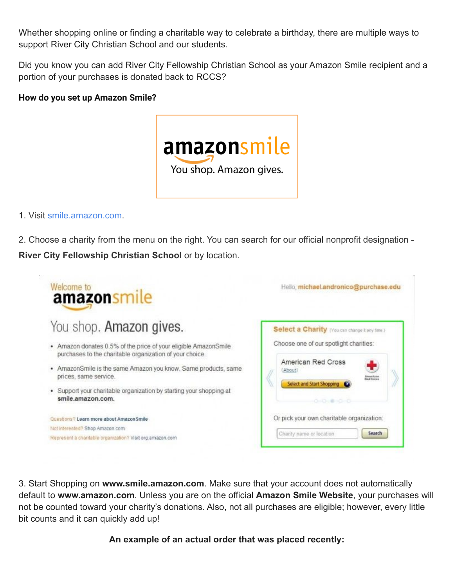Whether shopping online or finding a charitable way to celebrate a birthday, there are multiple ways to support River City Christian School and our students.

Did you know you can add River City Fellowship Christian School as your Amazon Smile recipient and a portion of your purchases is donated back to RCCS?

## **How do you set up Amazon Smile?**



## 1. Visit [smile.amazon.co](https://go.redirectingat.com/?id=92X1584496&xcust=laptopmag_us_1447623499131453000&xs=1&url=https%3A%2F%2Fsmile.amazon.com&sref=https%3A%2F%2Fwww.laptopmag.com%2Farticles%2Fhow-to-use-amazon-smile-to-give-to-charity)m.

2. Choose a charity from the menu on the right. You can search for our official nonprofit designation - **River City Fellowship Christian School** or by location.



3. Start Shopping on **www.smile.amazon.com**. Make sure that your account does not automatically default to **www.amazon.com**. Unless you are on the official **Amazon Smile Website**, your purchases will not be counted toward your charity's donations. Also, not all purchases are eligible; however, every little bit counts and it can quickly add up!

**An example of an actual order that was placed recently:**